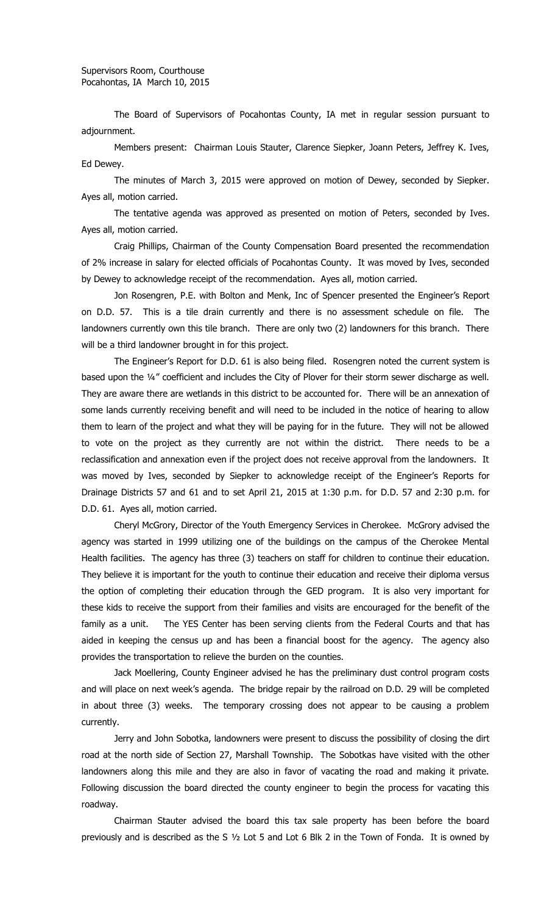The Board of Supervisors of Pocahontas County, IA met in regular session pursuant to adjournment.

Members present: Chairman Louis Stauter, Clarence Siepker, Joann Peters, Jeffrey K. Ives, Ed Dewey.

The minutes of March 3, 2015 were approved on motion of Dewey, seconded by Siepker. Ayes all, motion carried.

The tentative agenda was approved as presented on motion of Peters, seconded by Ives. Ayes all, motion carried.

Craig Phillips, Chairman of the County Compensation Board presented the recommendation of 2% increase in salary for elected officials of Pocahontas County. It was moved by Ives, seconded by Dewey to acknowledge receipt of the recommendation. Ayes all, motion carried.

Jon Rosengren, P.E. with Bolton and Menk, Inc of Spencer presented the Engineer's Report on D.D. 57. This is a tile drain currently and there is no assessment schedule on file. The landowners currently own this tile branch. There are only two (2) landowners for this branch. There will be a third landowner brought in for this project.

The Engineer's Report for D.D. 61 is also being filed. Rosengren noted the current system is based upon the ¼" coefficient and includes the City of Plover for their storm sewer discharge as well. They are aware there are wetlands in this district to be accounted for. There will be an annexation of some lands currently receiving benefit and will need to be included in the notice of hearing to allow them to learn of the project and what they will be paying for in the future. They will not be allowed to vote on the project as they currently are not within the district. There needs to be a reclassification and annexation even if the project does not receive approval from the landowners. It was moved by Ives, seconded by Siepker to acknowledge receipt of the Engineer's Reports for Drainage Districts 57 and 61 and to set April 21, 2015 at 1:30 p.m. for D.D. 57 and 2:30 p.m. for D.D. 61. Ayes all, motion carried.

Cheryl McGrory, Director of the Youth Emergency Services in Cherokee. McGrory advised the agency was started in 1999 utilizing one of the buildings on the campus of the Cherokee Mental Health facilities. The agency has three (3) teachers on staff for children to continue their education. They believe it is important for the youth to continue their education and receive their diploma versus the option of completing their education through the GED program. It is also very important for these kids to receive the support from their families and visits are encouraged for the benefit of the family as a unit. The YES Center has been serving clients from the Federal Courts and that has aided in keeping the census up and has been a financial boost for the agency. The agency also provides the transportation to relieve the burden on the counties.

Jack Moellering, County Engineer advised he has the preliminary dust control program costs and will place on next week's agenda. The bridge repair by the railroad on D.D. 29 will be completed in about three (3) weeks. The temporary crossing does not appear to be causing a problem currently.

Jerry and John Sobotka, landowners were present to discuss the possibility of closing the dirt road at the north side of Section 27, Marshall Township. The Sobotkas have visited with the other landowners along this mile and they are also in favor of vacating the road and making it private. Following discussion the board directed the county engineer to begin the process for vacating this roadway.

Chairman Stauter advised the board this tax sale property has been before the board previously and is described as the S ½ Lot 5 and Lot 6 Blk 2 in the Town of Fonda. It is owned by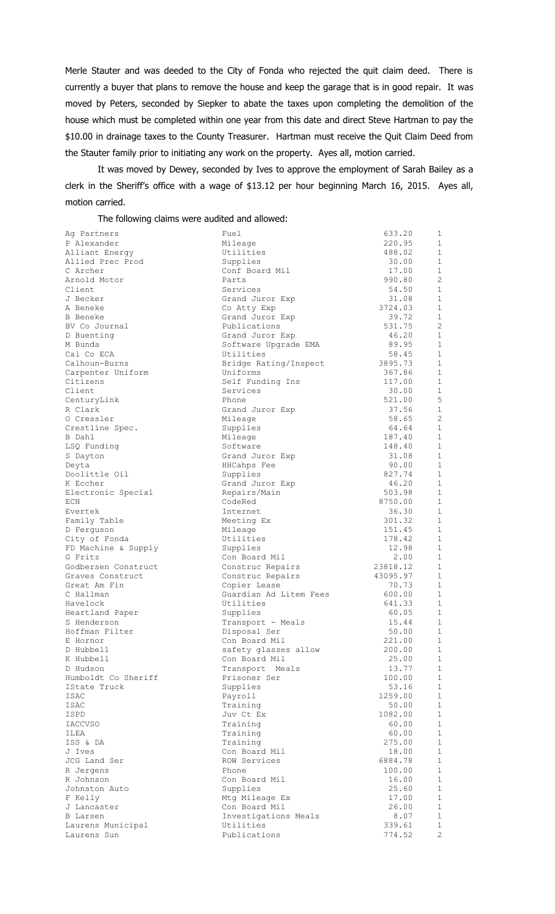Merle Stauter and was deeded to the City of Fonda who rejected the quit claim deed. There is currently a buyer that plans to remove the house and keep the garage that is in good repair. It was moved by Peters, seconded by Siepker to abate the taxes upon completing the demolition of the house which must be completed within one year from this date and direct Steve Hartman to pay the \$10.00 in drainage taxes to the County Treasurer. Hartman must receive the Quit Claim Deed from the Stauter family prior to initiating any work on the property. Ayes all, motion carried.

It was moved by Dewey, seconded by Ives to approve the employment of Sarah Bailey as a clerk in the Sheriff's office with a wage of \$13.12 per hour beginning March 16, 2015. Ayes all, motion carried.

The following claims were audited and allowed:

| Ag Partners                             | Fuel                             | 633.20               | 1              |
|-----------------------------------------|----------------------------------|----------------------|----------------|
| P Alexander                             | Mileage                          | 220.95               | 1              |
| Alliant Energy                          | Utilities                        | 488.02               | 1              |
| Allied Prec Prod                        | Supplies                         | 30.00                | $\mathbf{1}$   |
| C Archer                                | Conf Board Mil                   | 17.00                | $\mathbf{1}$   |
| Arnold Motor                            | Parts                            | 990.80               | $\overline{c}$ |
| Client                                  | Services                         | 54.50                | $\mathbf{1}$   |
| J Becker                                | Grand Juror Exp                  | 31.08                | $1\,$          |
| A Beneke                                | Co Atty Exp                      | 3724.03              | 1              |
| B Beneke                                | Grand Juror Exp                  | 39.72                | 1              |
| BV Co Journal                           | Publications                     | 531.75               | $\overline{c}$ |
| D Buenting                              | Grand Juror Exp                  | 46.20                | $\mathbf{1}$   |
| M Bunda                                 | Software Upgrade EMA             | 89.95                | 1              |
| Cal Co ECA                              | Utilities                        | 58.45                | $\mathbf{1}$   |
| Calhoun-Burns                           | Bridge Rating/Inspect            | 3895.73              | $\mathbf{1}$   |
| Carpenter Uniform                       | Uniforms                         | 367.86               | $\mathbf{1}$   |
| Citizens                                | Self Funding Ins                 | 117.00               | 1              |
| Client                                  | Services                         | 30.00                | $\mathbf{1}$   |
| CenturyLink                             | Phone                            | 521.00               | 5              |
| R Clark                                 | Grand Juror Exp                  | 37.56                | 1              |
| 0 Cressler                              | Mileage                          | 58.65                | $\overline{c}$ |
| Crestline Spec.                         | Supplies                         | 64.64                | $\mathbf{1}$   |
| B Dahl                                  | Mileage                          | 187.40               | 1              |
| LSQ Funding                             | Software                         | 148.40               | $\mathbf{1}$   |
| S Dayton                                | Grand Juror Exp                  | 31.08                | $\mathbf{1}$   |
| Deyta                                   | HHCahps Fee                      | 90.00                | 1              |
| Doolittle Oil                           | Supplies                         | 827.74               | $\mathbf{1}$   |
| K Eccher                                | Grand Juror Exp                  | 46.20                | $\mathbf{1}$   |
| Electronic Special                      | Repairs/Main                     | 503.98               | $\mathbf{1}$   |
| ECN                                     | CodeRed                          | 8750.00              | 1              |
| Evertek                                 | Internet                         | 36.30                | $\mathbf{1}$   |
| Family Table                            | Meeting Ex                       | 301.32               | $\mathbf{1}$   |
| D Ferguson                              | Mileage                          | 151.45               | 1              |
| City of Fonda                           | Utilities                        | 178.42               | $\mathbf{1}$   |
| FD Machine & Supply                     | Supplies                         | 12.98                | $\mathbf{1}$   |
| G Fritz                                 | Con Board Mil                    | 2.00                 | 1<br>1         |
| Godbersen Construct<br>Graves Construct | Construc Repairs                 | 23818.12<br>43095.97 | $\mathbf{1}$   |
| Great Am Fin                            | Construc Repairs<br>Copier Lease | 70.73                | $\mathbf{1}$   |
| C Hallman                               | Guardian Ad Litem Fees           | 600.00               | 1              |
| Havelock                                | Utilities                        | 641.33               | $\mathbf{1}$   |
| Heartland Paper                         | Supplies                         | 60.05                | 1              |
| S Henderson                             | Transport - Meals                | 15.44                | 1              |
| Hoffman Filter                          | Disposal Ser                     | 50.00                | $\mathbf{1}$   |
| E Hornor                                | Con Board Mil                    | 221.00               | 1              |
| D Hubbell                               | safety glasses allow             | 200.00               | 1              |
| K Hubbell                               | Con Board Mil                    | 25.00                | 1              |
| D Hudson                                | Transport Meals                  | 13.77                | $\mathbf{1}$   |
| Humboldt Co Sheriff                     | Prisoner Ser                     | 100.00               | 1              |
| IState Truck                            | Supplies                         | 53.16                | 1              |
| ISAC                                    | Payroll                          | 1259.00              | $\mathbf{1}$   |
| ISAC                                    | Training                         | 50.00                | $\mathbf{1}$   |
| ISPD                                    | Juv Ct Ex                        | 1082.00              | 1              |
| <b>IACCVSO</b>                          | Training                         | 60.00                | $\mathbf{1}$   |
| ILEA                                    | Training                         | 60.00                | $\mathbf{1}$   |
| ISS & DA                                | Training                         | 275.00               | $\mathbf{1}$   |
| J Ives                                  | Con Board Mil                    | 18.00                | $\mathbf{1}$   |
| JCG Land Ser                            | ROW Services                     | 6884.78              | $\mathbf{1}$   |
| R Jergens                               | Phone                            | 100.00               | 1              |
| R Johnson                               | Con Board Mil                    | 16.00                | 1              |
| Johnston Auto                           | Supplies                         | 25.60                | $\mathbf{1}$   |
| F Kelly                                 | Mtg Mileage Ex                   | 17.00                | 1              |
| J Lancaster                             | Con Board Mil                    | 26.00                | 1              |
| B Larsen                                | Investigations Meals             | 8.07                 | $\mathbf{1}$   |
| Laurens Municipal                       | Utilities                        | 339.61               | 1              |
| Laurens Sun                             | Publications                     | 774.52               | $\overline{2}$ |
|                                         |                                  |                      |                |